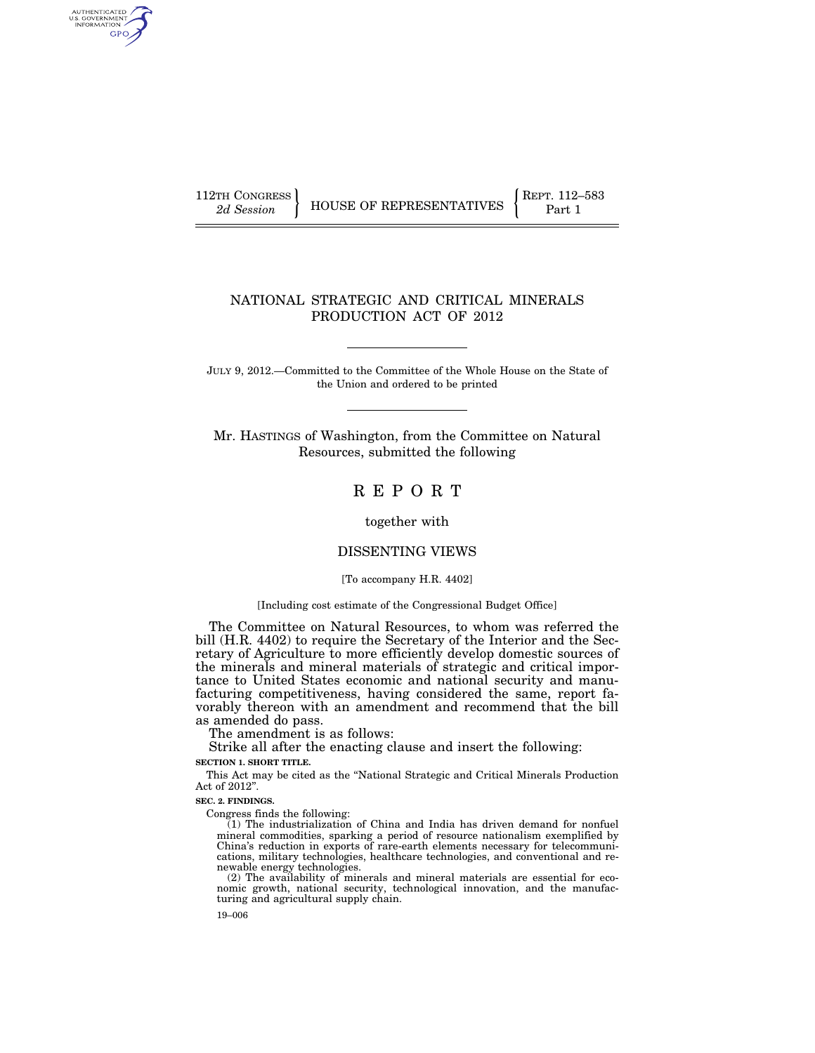AUTHENTICATED<br>U.S. GOVERNMENT<br>INFORMATION GPO

112TH CONGRESS **REPRESENTATIVES** REPRESENTATIVES **Part 1** 

# NATIONAL STRATEGIC AND CRITICAL MINERALS PRODUCTION ACT OF 2012

JULY 9, 2012.—Committed to the Committee of the Whole House on the State of the Union and ordered to be printed

Mr. HASTINGS of Washington, from the Committee on Natural Resources, submitted the following

# R E P O R T

together with

## DISSENTING VIEWS

[To accompany H.R. 4402]

#### [Including cost estimate of the Congressional Budget Office]

The Committee on Natural Resources, to whom was referred the bill (H.R. 4402) to require the Secretary of the Interior and the Secretary of Agriculture to more efficiently develop domestic sources of the minerals and mineral materials of strategic and critical importance to United States economic and national security and manufacturing competitiveness, having considered the same, report favorably thereon with an amendment and recommend that the bill as amended do pass.

The amendment is as follows:

Strike all after the enacting clause and insert the following:

**SECTION 1. SHORT TITLE.** 

This Act may be cited as the ''National Strategic and Critical Minerals Production Act of 2012''.

#### **SEC. 2. FINDINGS.**

Congress finds the following:

(1) The industrialization of China and India has driven demand for nonfuel mineral commodities, sparking a period of resource nationalism exemplified by China's reduction in exports of rare-earth elements necessary for telecommunications, military technologies, healthcare technologies, and conventional and renewable energy technologies.

(2) The availability of minerals and mineral materials are essential for economic growth, national security, technological innovation, and the manufacturing and agricultural supply chain.

19–006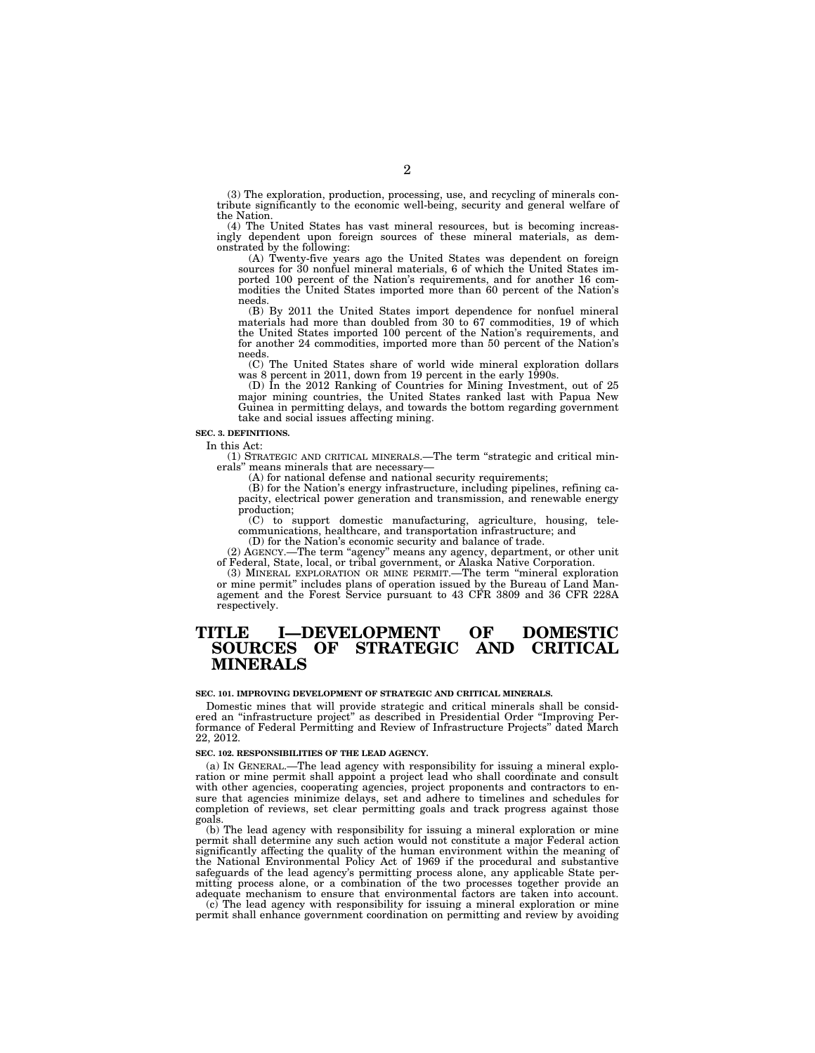(3) The exploration, production, processing, use, and recycling of minerals contribute significantly to the economic well-being, security and general welfare of the Nation.

(4) The United States has vast mineral resources, but is becoming increasingly dependent upon foreign sources of these mineral materials, as demonstrated by the following:

(A) Twenty-five years ago the United States was dependent on foreign sources for 30 nonfuel mineral materials, 6 of which the United States imported 100 percent of the Nation's requirements, and for another 16 commodities the United States imported more than 60 percent of the Nation's needs.

(B) By 2011 the United States import dependence for nonfuel mineral materials had more than doubled from 30 to 67 commodities, 19 of which the United States imported 100 percent of the Nation's requirements, and for another 24 commodities, imported more than 50 percent of the Nation's needs.

(C) The United States share of world wide mineral exploration dollars was 8 percent in 2011, down from 19 percent in the early 1990s.

(D) In the 2012 Ranking of Countries for Mining Investment, out of 25 major mining countries, the United States ranked last with Papua New Guinea in permitting delays, and towards the bottom regarding government take and social issues affecting mining.

#### **SEC. 3. DEFINITIONS.**

In this Act:

(1) STRATEGIC AND CRITICAL MINERALS.—The term ''strategic and critical minerals'' means minerals that are necessary—

(A) for national defense and national security requirements;

(B) for the Nation's energy infrastructure, including pipelines, refining capacity, electrical power generation and transmission, and renewable energy production;

(C) to support domestic manufacturing, agriculture, housing, telecommunications, healthcare, and transportation infrastructure; and

(D) for the Nation's economic security and balance of trade. (2) AGENCY.—The term ''agency'' means any agency, department, or other unit

of Federal, State, local, or tribal government, or Alaska Native Corporation.

(3) MINERAL EXPLORATION OR MINE PERMIT.—The term ''mineral exploration or mine permit'' includes plans of operation issued by the Bureau of Land Management and the Forest Service pursuant to 43 CFR 3809 and 36 CFR 228A respectively.

# **TITLE I—DEVELOPMENT OF DOMESTIC SOURCES OF STRATEGIC AND CRITICAL MINERALS**

#### **SEC. 101. IMPROVING DEVELOPMENT OF STRATEGIC AND CRITICAL MINERALS.**

Domestic mines that will provide strategic and critical minerals shall be considered an ''infrastructure project'' as described in Presidential Order ''Improving Performance of Federal Permitting and Review of Infrastructure Projects'' dated March 22, 2012.

#### **SEC. 102. RESPONSIBILITIES OF THE LEAD AGENCY.**

(a) IN GENERAL.—The lead agency with responsibility for issuing a mineral exploration or mine permit shall appoint a project lead who shall coordinate and consult with other agencies, cooperating agencies, project proponents and contractors to ensure that agencies minimize delays, set and adhere to timelines and schedules for completion of reviews, set clear permitting goals and track progress against those goals.

(b) The lead agency with responsibility for issuing a mineral exploration or mine permit shall determine any such action would not constitute a major Federal action significantly affecting the quality of the human environment within the meaning of the National Environmental Policy Act of 1969 if the procedural and substantive safeguards of the lead agency's permitting process alone, any applicable State per-mitting process alone, or a combination of the two processes together provide an adequate mechanism to ensure that environmental factors are taken into account.

The lead agency with responsibility for issuing a mineral exploration or mine permit shall enhance government coordination on permitting and review by avoiding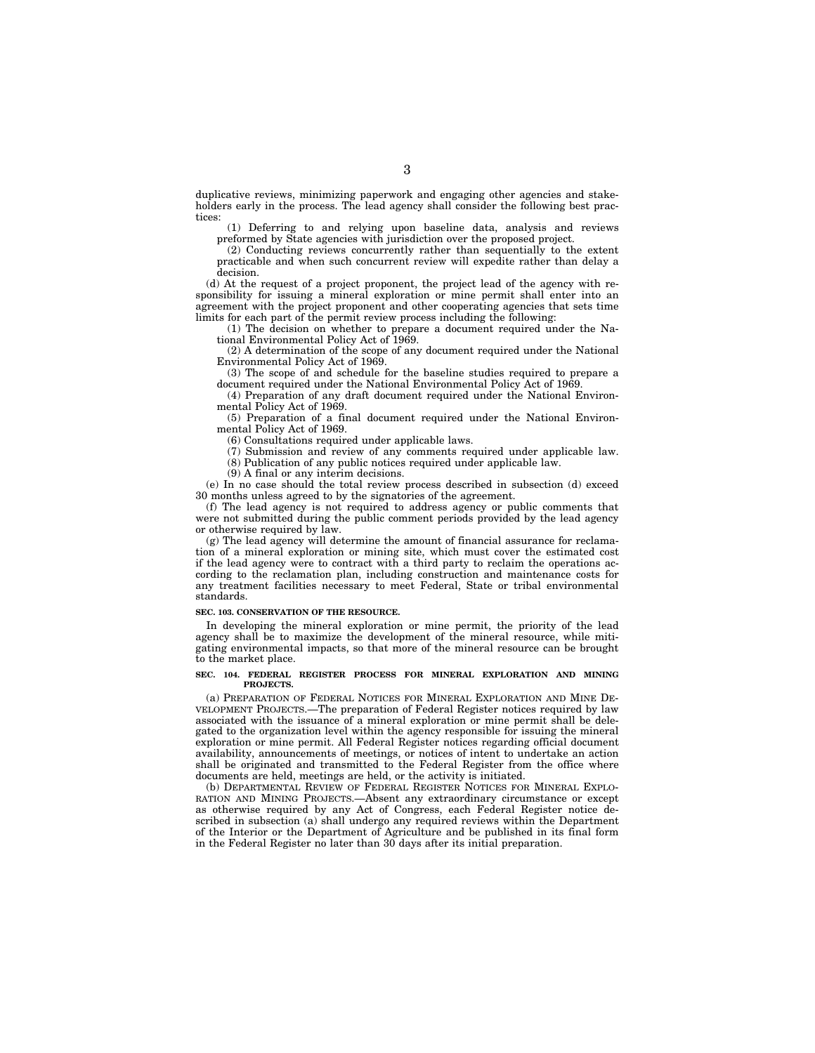duplicative reviews, minimizing paperwork and engaging other agencies and stakeholders early in the process. The lead agency shall consider the following best practices:

(1) Deferring to and relying upon baseline data, analysis and reviews preformed by State agencies with jurisdiction over the proposed project.

(2) Conducting reviews concurrently rather than sequentially to the extent practicable and when such concurrent review will expedite rather than delay a decision.

(d) At the request of a project proponent, the project lead of the agency with responsibility for issuing a mineral exploration or mine permit shall enter into an agreement with the project proponent and other cooperating agencies that sets time limits for each part of the permit review process including the following:

(1) The decision on whether to prepare a document required under the National Environmental Policy Act of 1969.

(2) A determination of the scope of any document required under the National Environmental Policy Act of 1969.

(3) The scope of and schedule for the baseline studies required to prepare a document required under the National Environmental Policy Act of 1969.

(4) Preparation of any draft document required under the National Environmental Policy Act of 1969.

(5) Preparation of a final document required under the National Environmental Policy Act of 1969.

(6) Consultations required under applicable laws.

(7) Submission and review of any comments required under applicable law. (8) Publication of any public notices required under applicable law.

(9) A final or any interim decisions.

(e) In no case should the total review process described in subsection (d) exceed 30 months unless agreed to by the signatories of the agreement.

(f) The lead agency is not required to address agency or public comments that were not submitted during the public comment periods provided by the lead agency or otherwise required by law.

(g) The lead agency will determine the amount of financial assurance for reclamation of a mineral exploration or mining site, which must cover the estimated cost if the lead agency were to contract with a third party to reclaim the operations according to the reclamation plan, including construction and maintenance costs for any treatment facilities necessary to meet Federal, State or tribal environmental standards.

#### **SEC. 103. CONSERVATION OF THE RESOURCE.**

In developing the mineral exploration or mine permit, the priority of the lead agency shall be to maximize the development of the mineral resource, while mitigating environmental impacts, so that more of the mineral resource can be brought to the market place.

#### **SEC. 104. FEDERAL REGISTER PROCESS FOR MINERAL EXPLORATION AND MINING PROJECTS.**

(a) PREPARATION OF FEDERAL NOTICES FOR MINERAL EXPLORATION AND MINE DE-VELOPMENT PROJECTS.—The preparation of Federal Register notices required by law associated with the issuance of a mineral exploration or mine permit shall be delegated to the organization level within the agency responsible for issuing the mineral exploration or mine permit. All Federal Register notices regarding official document availability, announcements of meetings, or notices of intent to undertake an action shall be originated and transmitted to the Federal Register from the office where documents are held, meetings are held, or the activity is initiated.

(b) DEPARTMENTAL REVIEW OF FEDERAL REGISTER NOTICES FOR MINERAL EXPLO-RATION AND MINING PROJECTS.—Absent any extraordinary circumstance or except as otherwise required by any Act of Congress, each Federal Register notice described in subsection (a) shall undergo any required reviews within the Department of the Interior or the Department of Agriculture and be published in its final form in the Federal Register no later than  $30$  days after its initial preparation.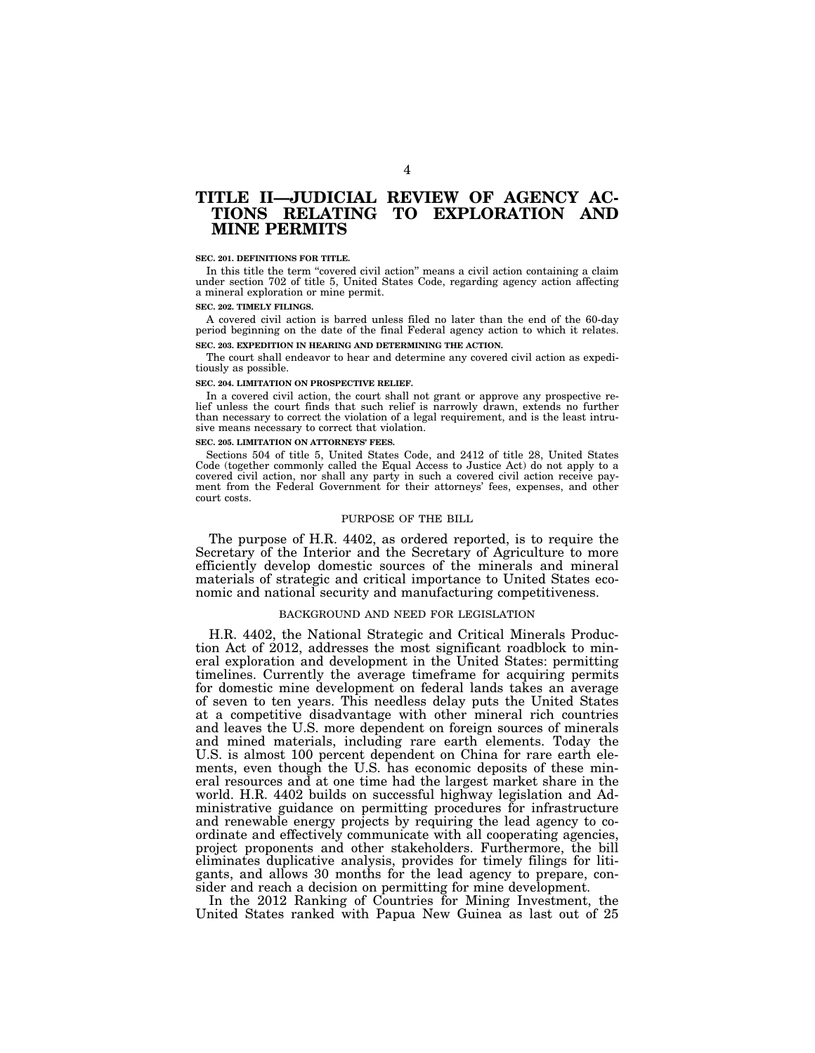# **TITLE II—JUDICIAL REVIEW OF AGENCY AC-TIONS RELATING TO EXPLORATION AND MINE PERMITS**

#### **SEC. 201. DEFINITIONS FOR TITLE.**

In this title the term "covered civil action" means a civil action containing a claim under section 702 of title 5, United States Code, regarding agency action affecting a mineral exploration or mine permit.

#### **SEC. 202. TIMELY FILINGS.**

A covered civil action is barred unless filed no later than the end of the 60-day period beginning on the date of the final Federal agency action to which it relates. **SEC. 203. EXPEDITION IN HEARING AND DETERMINING THE ACTION.** 

The court shall endeavor to hear and determine any covered civil action as expeditiously as possible.

#### **SEC. 204. LIMITATION ON PROSPECTIVE RELIEF.**

In a covered civil action, the court shall not grant or approve any prospective relief unless the court finds that such relief is narrowly drawn, extends no further than necessary to correct the violation of a legal requirement, and is the least intrusive means necessary to correct that violation.

#### **SEC. 205. LIMITATION ON ATTORNEYS' FEES.**

Sections 504 of title 5, United States Code, and 2412 of title 28, United States Code (together commonly called the Equal Access to Justice Act) do not apply to a covered civil action, nor shall any party in such a covered civil action receive payment from the Federal Government for their attorneys' fees, expenses, and other court costs.

#### PURPOSE OF THE BILL

The purpose of H.R. 4402, as ordered reported, is to require the Secretary of the Interior and the Secretary of Agriculture to more efficiently develop domestic sources of the minerals and mineral materials of strategic and critical importance to United States economic and national security and manufacturing competitiveness.

# BACKGROUND AND NEED FOR LEGISLATION

H.R. 4402, the National Strategic and Critical Minerals Production Act of 2012, addresses the most significant roadblock to mineral exploration and development in the United States: permitting timelines. Currently the average timeframe for acquiring permits for domestic mine development on federal lands takes an average of seven to ten years. This needless delay puts the United States at a competitive disadvantage with other mineral rich countries and leaves the U.S. more dependent on foreign sources of minerals and mined materials, including rare earth elements. Today the U.S. is almost 100 percent dependent on China for rare earth elements, even though the U.S. has economic deposits of these mineral resources and at one time had the largest market share in the world. H.R. 4402 builds on successful highway legislation and Administrative guidance on permitting procedures for infrastructure and renewable energy projects by requiring the lead agency to coordinate and effectively communicate with all cooperating agencies, project proponents and other stakeholders. Furthermore, the bill eliminates duplicative analysis, provides for timely filings for litigants, and allows 30 months for the lead agency to prepare, consider and reach a decision on permitting for mine development.

In the 2012 Ranking of Countries for Mining Investment, the United States ranked with Papua New Guinea as last out of 25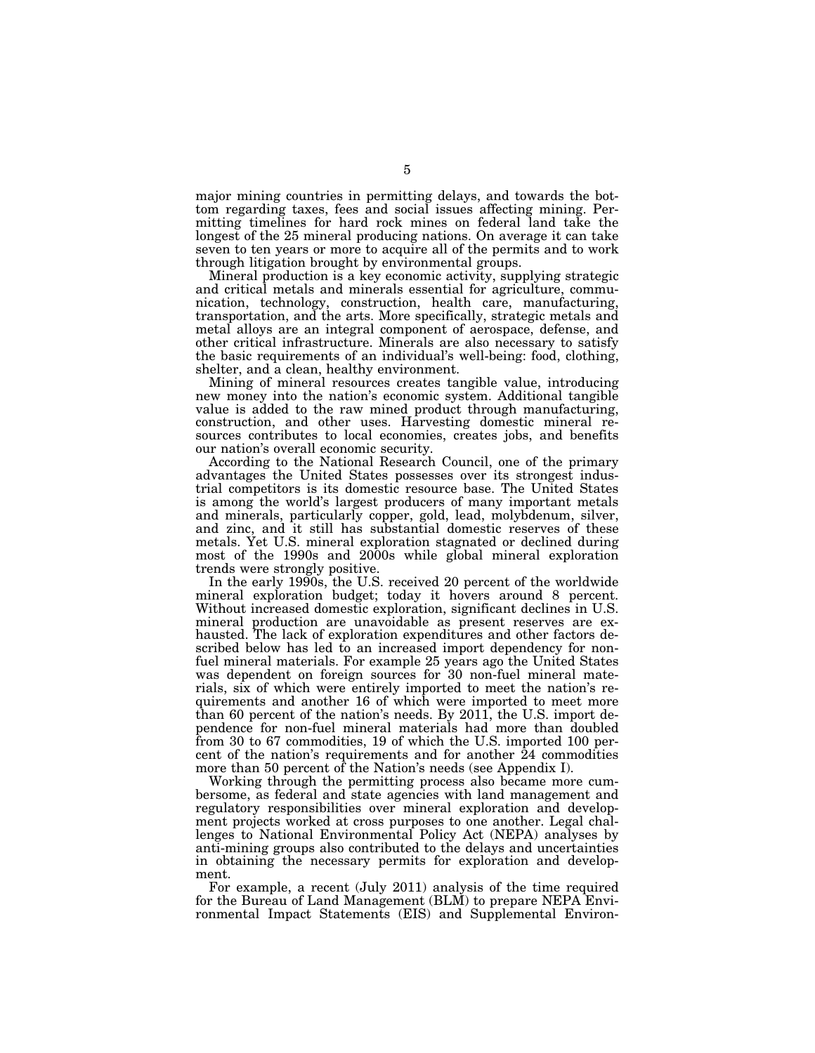major mining countries in permitting delays, and towards the bottom regarding taxes, fees and social issues affecting mining. Permitting timelines for hard rock mines on federal land take the longest of the 25 mineral producing nations. On average it can take seven to ten years or more to acquire all of the permits and to work through litigation brought by environmental groups.

Mineral production is a key economic activity, supplying strategic and critical metals and minerals essential for agriculture, communication, technology, construction, health care, manufacturing, transportation, and the arts. More specifically, strategic metals and metal alloys are an integral component of aerospace, defense, and other critical infrastructure. Minerals are also necessary to satisfy the basic requirements of an individual's well-being: food, clothing, shelter, and a clean, healthy environment.

Mining of mineral resources creates tangible value, introducing new money into the nation's economic system. Additional tangible value is added to the raw mined product through manufacturing, construction, and other uses. Harvesting domestic mineral resources contributes to local economies, creates jobs, and benefits our nation's overall economic security.

According to the National Research Council, one of the primary advantages the United States possesses over its strongest industrial competitors is its domestic resource base. The United States is among the world's largest producers of many important metals and minerals, particularly copper, gold, lead, molybdenum, silver, and zinc, and it still has substantial domestic reserves of these metals. Yet U.S. mineral exploration stagnated or declined during most of the 1990s and 2000s while global mineral exploration trends were strongly positive.

In the early 1990s, the U.S. received 20 percent of the worldwide mineral exploration budget; today it hovers around 8 percent. Without increased domestic exploration, significant declines in U.S. mineral production are unavoidable as present reserves are exhausted. The lack of exploration expenditures and other factors described below has led to an increased import dependency for nonfuel mineral materials. For example 25 years ago the United States was dependent on foreign sources for 30 non-fuel mineral materials, six of which were entirely imported to meet the nation's requirements and another 16 of which were imported to meet more than 60 percent of the nation's needs. By 2011, the U.S. import dependence for non-fuel mineral materials had more than doubled from 30 to 67 commodities, 19 of which the U.S. imported 100 percent of the nation's requirements and for another  $\overline{2}4$  commodities more than 50 percent of the Nation's needs (see Appendix I).

Working through the permitting process also became more cumbersome, as federal and state agencies with land management and regulatory responsibilities over mineral exploration and development projects worked at cross purposes to one another. Legal challenges to National Environmental Policy Act (NEPA) analyses by anti-mining groups also contributed to the delays and uncertainties in obtaining the necessary permits for exploration and development.

For example, a recent (July 2011) analysis of the time required for the Bureau of Land Management (BLM) to prepare NEPA Environmental Impact Statements (EIS) and Supplemental Environ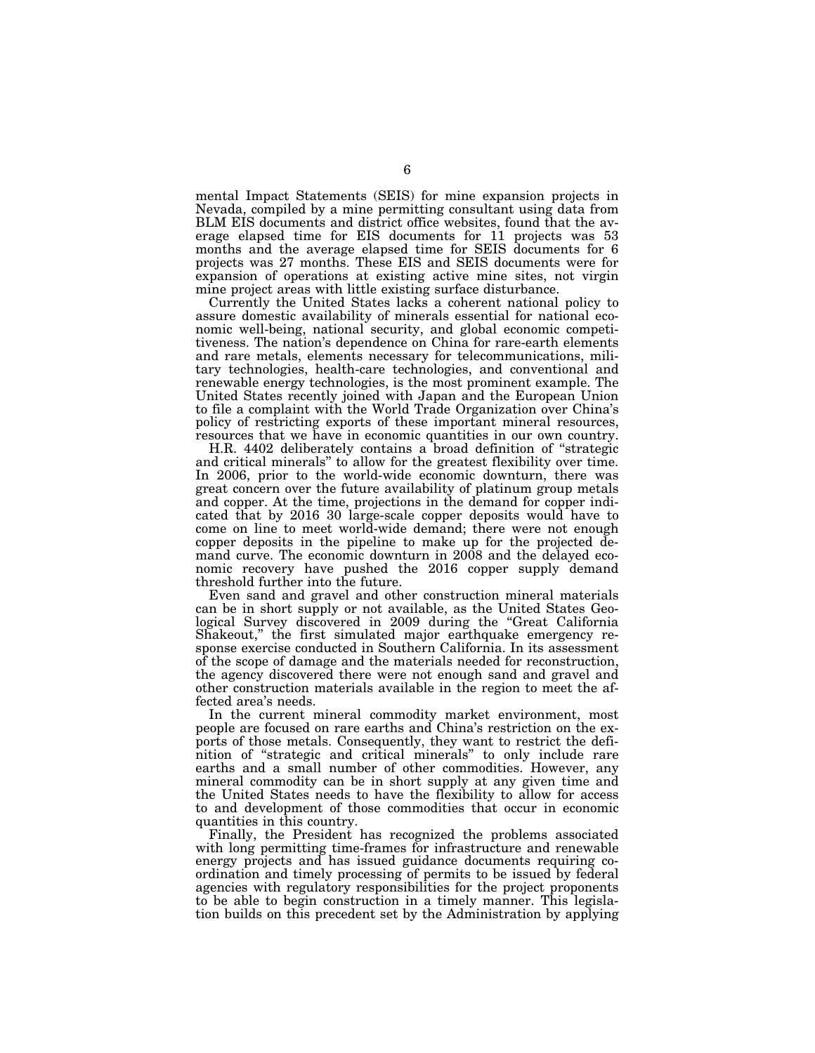mental Impact Statements (SEIS) for mine expansion projects in Nevada, compiled by a mine permitting consultant using data from BLM EIS documents and district office websites, found that the average elapsed time for EIS documents for 11 projects was 53 months and the average elapsed time for SEIS documents for 6 projects was 27 months. These EIS and SEIS documents were for expansion of operations at existing active mine sites, not virgin mine project areas with little existing surface disturbance.

Currently the United States lacks a coherent national policy to assure domestic availability of minerals essential for national economic well-being, national security, and global economic competitiveness. The nation's dependence on China for rare-earth elements and rare metals, elements necessary for telecommunications, military technologies, health-care technologies, and conventional and renewable energy technologies, is the most prominent example. The United States recently joined with Japan and the European Union to file a complaint with the World Trade Organization over China's policy of restricting exports of these important mineral resources, resources that we have in economic quantities in our own country.

H.R. 4402 deliberately contains a broad definition of ''strategic and critical minerals'' to allow for the greatest flexibility over time. In 2006, prior to the world-wide economic downturn, there was great concern over the future availability of platinum group metals and copper. At the time, projections in the demand for copper indicated that by 2016 30 large-scale copper deposits would have to come on line to meet world-wide demand; there were not enough copper deposits in the pipeline to make up for the projected demand curve. The economic downturn in 2008 and the delayed economic recovery have pushed the 2016 copper supply demand threshold further into the future.

Even sand and gravel and other construction mineral materials can be in short supply or not available, as the United States Geological Survey discovered in 2009 during the ''Great California Shakeout," the first simulated major earthquake emergency response exercise conducted in Southern California. In its assessment of the scope of damage and the materials needed for reconstruction, the agency discovered there were not enough sand and gravel and other construction materials available in the region to meet the affected area's needs.

In the current mineral commodity market environment, most people are focused on rare earths and China's restriction on the exports of those metals. Consequently, they want to restrict the definition of ''strategic and critical minerals'' to only include rare earths and a small number of other commodities. However, any mineral commodity can be in short supply at any given time and the United States needs to have the flexibility to allow for access to and development of those commodities that occur in economic quantities in this country.

Finally, the President has recognized the problems associated with long permitting time-frames for infrastructure and renewable energy projects and has issued guidance documents requiring coordination and timely processing of permits to be issued by federal agencies with regulatory responsibilities for the project proponents to be able to begin construction in a timely manner. This legislation builds on this precedent set by the Administration by applying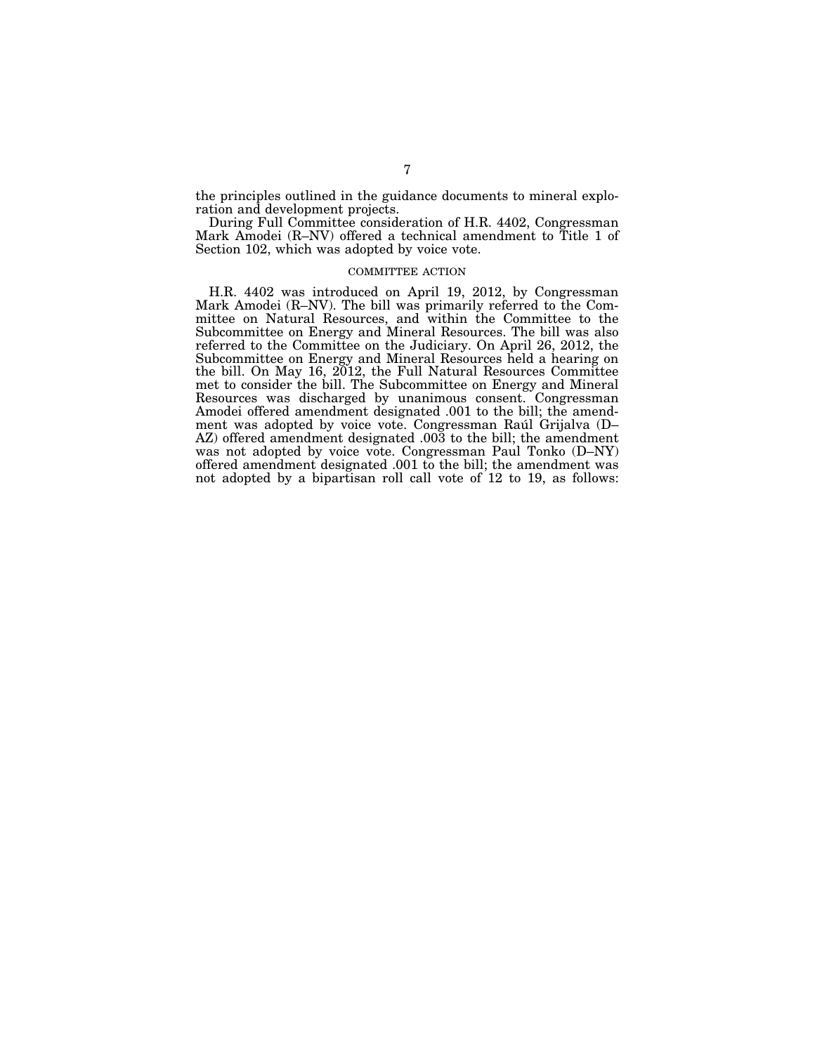the principles outlined in the guidance documents to mineral exploration and development projects.

During Full Committee consideration of H.R. 4402, Congressman Mark Amodei (R–NV) offered a technical amendment to Title 1 of Section 102, which was adopted by voice vote.

# COMMITTEE ACTION

H.R. 4402 was introduced on April 19, 2012, by Congressman Mark Amodei (R–NV). The bill was primarily referred to the Committee on Natural Resources, and within the Committee to the Subcommittee on Energy and Mineral Resources. The bill was also referred to the Committee on the Judiciary. On April 26, 2012, the Subcommittee on Energy and Mineral Resources held a hearing on the bill. On May 16, 2012, the Full Natural Resources Committee met to consider the bill. The Subcommittee on Energy and Mineral Resources was discharged by unanimous consent. Congressman Amodei offered amendment designated .001 to the bill; the amendment was adopted by voice vote. Congressman Raúl Grijalva (D-AZ) offered amendment designated .003 to the bill; the amendment was not adopted by voice vote. Congressman Paul Tonko (D–NY) offered amendment designated .001 to the bill; the amendment was not adopted by a bipartisan roll call vote of 12 to 19, as follows: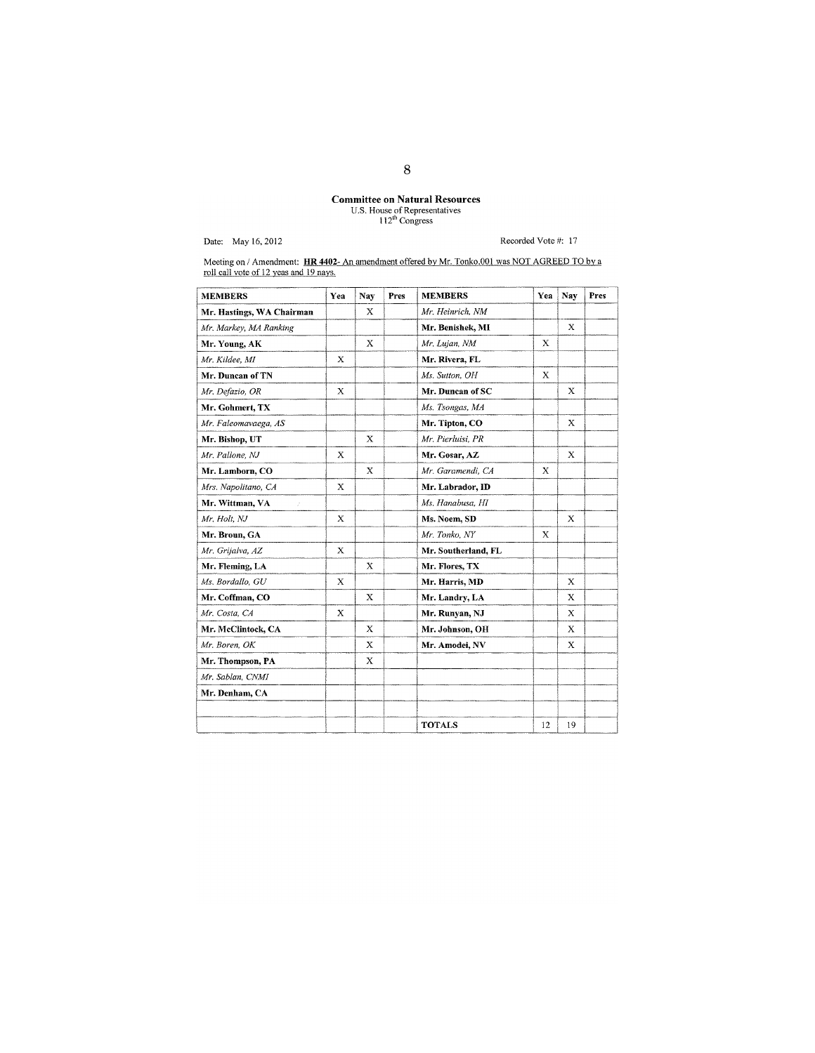# **Committee on Natural Resources**<br>U.S. House of Representatives<br> $112^{\text{th}}$  Congress

Date: May 16, 2012

Recorded Vote #: 17

Meeting on / Amendment: HR 4402- An amendment offered by Mr. Tonko.001 was NOT AGREED TO by a roll call vote of 12 yeas and 19 nays.

| <b>MEMBERS</b>            | Yea         | Nay         | Pres | <b>MEMBERS</b>      | Yea | Nav                       | Pres |
|---------------------------|-------------|-------------|------|---------------------|-----|---------------------------|------|
| Mr. Hastings, WA Chairman |             | Х           |      | Mr. Heinrich, NM    |     |                           |      |
| Mr. Markey, MA Ranking    |             |             |      | Mr. Benishek, MI    |     | $\mathbf x$               |      |
| Mr. Young, AK             |             | X           |      | Mr. Lujan, NM       | Х   |                           |      |
| Mr. Kildee, MI            | X           |             |      | Mr. Rivera, FL      |     |                           |      |
| Mr. Duncan of TN          |             |             |      | Ms. Sutton, OH      | X   |                           |      |
| Mr. Defazio, OR           | X           |             |      | Mr. Duncan of SC    |     | X                         |      |
| Mr. Gohmert, TX           |             |             |      | Ms. Tsongas, MA     |     |                           |      |
| Mr. Faleomavaega, AS      |             |             |      | Mr. Tipton, CO      |     | X                         |      |
| Mr. Bishop, UT            |             | X           |      | Mr. Pierluisi, PR   |     |                           |      |
| Mr. Pallone, NJ           | $\mathbf x$ |             |      | Mr. Gosar, AZ       |     | $\bf{X}$                  |      |
| Mr. Lamborn, CO           |             | X           |      | Mr. Garamendi, CA   | X   |                           |      |
| Mrs. Napolitano, CA       | X           |             |      | Mr. Labrador, ID    |     |                           |      |
| Mr. Wittman, VA<br>V.     |             |             |      | Ms. Hanabusa, HI    |     |                           |      |
| Mr. Holt, NJ              | $\mathbf x$ |             |      | Ms. Noem, SD        |     | $\bf x$                   |      |
| Mr. Broun, GA             |             |             |      | Mr. Tonko, NY       | X   |                           |      |
| Mr. Grijalva, AZ          | $\mathbf x$ |             |      | Mr. Southerland, FL |     |                           |      |
| Mr. Fleming, LA           |             | X           |      | Mr. Flores, TX      |     |                           |      |
| Ms. Bordallo, GU          | X           |             |      | Mr. Harris, MD      |     | X                         |      |
| Mr. Coffman, CO           |             | X           |      | Mr. Landry, LA      |     | X                         |      |
| Mr. Costa, CA             | $\mathbf x$ |             |      | Mr. Runyan, NJ      |     | $\boldsymbol{\mathsf{x}}$ |      |
| Mr. McClintock, CA        |             | X           |      | Mr. Johnson, OH     |     | X                         |      |
| Mr. Boren, OK             |             | X           |      | Mr. Amodei, NV      |     | X                         |      |
| Mr. Thompson, PA          |             | $\mathbf x$ |      |                     |     |                           |      |
| Mr. Sablan, CNMI          |             |             |      |                     |     |                           |      |
| Mr. Denham, CA            |             |             |      |                     |     |                           |      |
|                           |             |             |      |                     |     |                           |      |
|                           |             |             |      | <b>TOTALS</b>       | 12  | 19                        |      |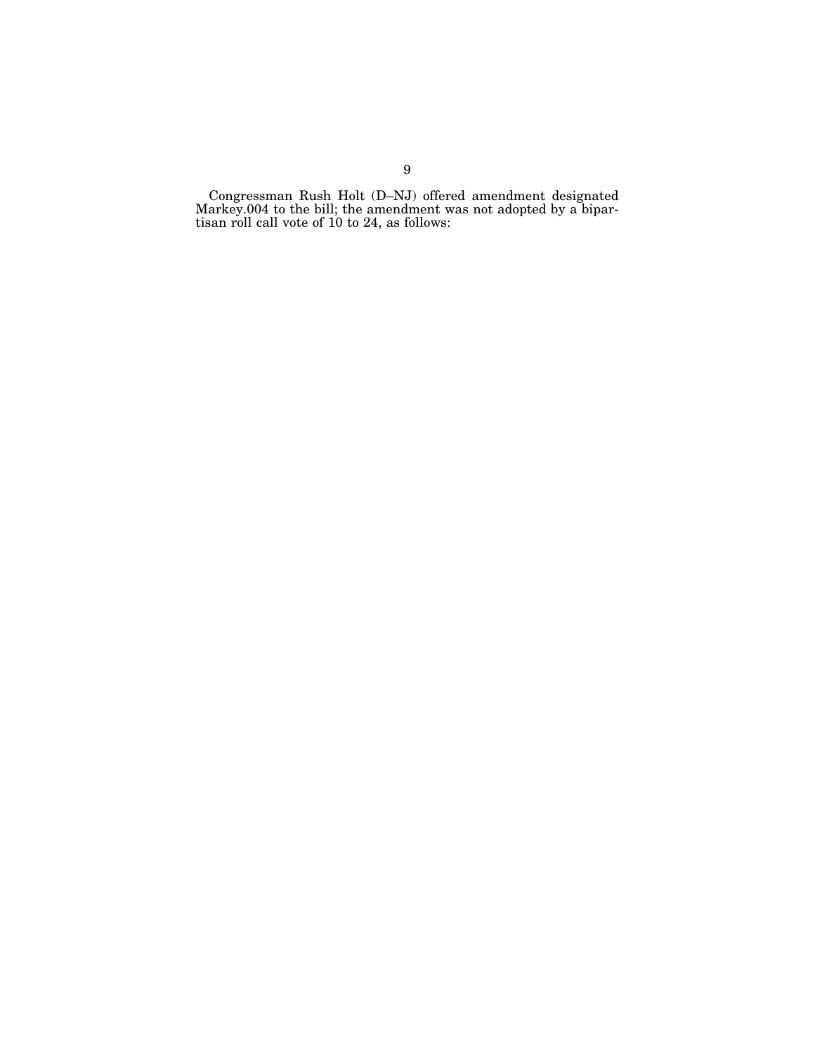Congressman Rush Holt (D–NJ) offered amendment designated Markey.004 to the bill; the amendment was not adopted by a bipartisan roll call vote of 10 to 24, as follows: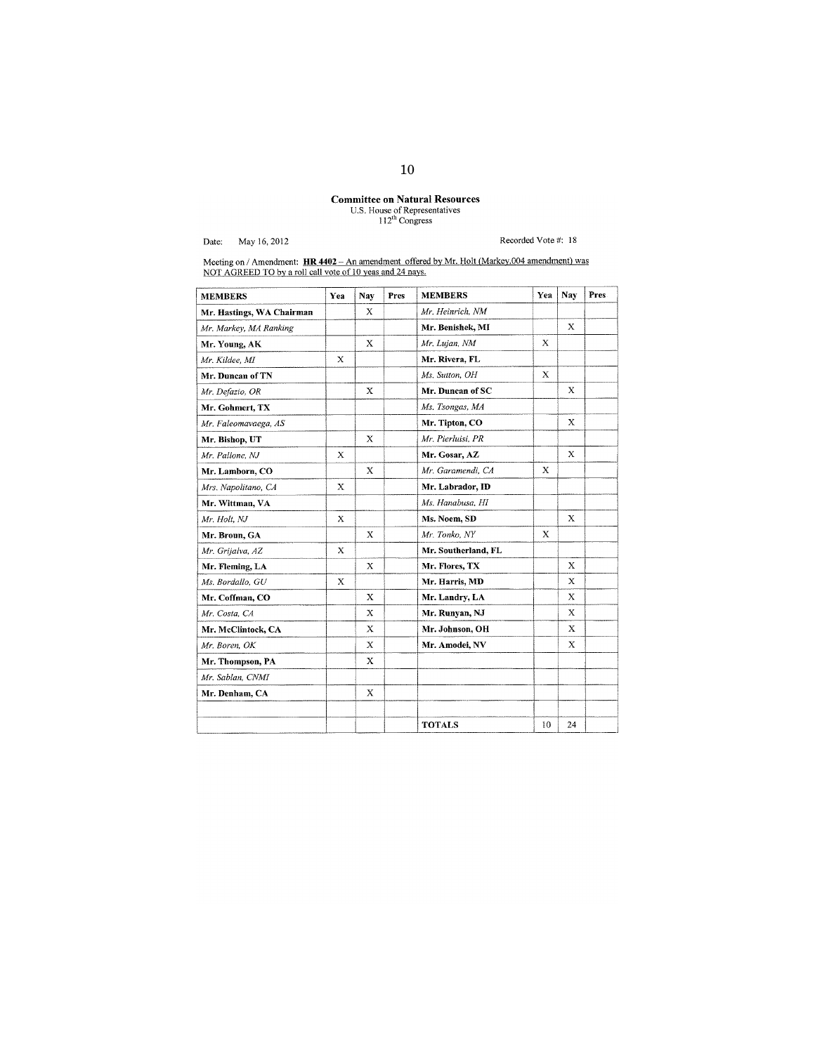# **Committee on Natural Resources**<br>U.S. House of Representatives<br> $112^{th}$  Congress

Date: May 16, 2012

Recorded Vote #: 18

Meeting on / Amendment: **HR 4402** - An amendment offered by Mr. Holt (Markey.004 amendment) was NOT AGREED TO by a roll call vote of 10 yeas and 24 nays.

| <b>MEMBERS</b>            | Yea         | Nay         | Pres | <b>MEMBERS</b>      | Yea | Nay                       | Pres |
|---------------------------|-------------|-------------|------|---------------------|-----|---------------------------|------|
| Mr. Hastings, WA Chairman |             | Х           |      | Mr. Heinrich, NM    |     |                           |      |
| Mr. Markey, MA Ranking    |             |             |      | Mr. Benishek, MI    |     | $\mathbf x$               |      |
| Mr. Young, AK             |             | X           |      | Mr. Lujan, NM       | X   |                           |      |
| Mr. Kildee, MI            | X           |             |      | Mr. Rivera, FL      |     |                           |      |
| Mr. Duncan of TN          |             |             |      | Ms. Sutton, OH      | X   |                           |      |
| Mr. Defazio, OR           |             | X           |      | Mr. Duncan of SC    |     | Х                         |      |
| Mr. Gohmert, TX           |             |             |      | Ms. Tsongas, MA     |     |                           |      |
| Mr. Faleomavaega, AS      |             |             |      | Mr. Tipton, CO      |     | $\mathbf x$               |      |
| Mr. Bishop, UT            |             | X           |      | Mr. Pierluisi, PR   |     |                           |      |
| Mr. Pallone, NJ           | X           |             |      | Mr. Gosar, AZ       |     | X                         |      |
| Mr. Lamborn, CO           |             | X           |      | Mr. Garamendi, CA   | X   |                           |      |
| Mrs. Napolitano, CA       | $\mathbf x$ |             |      | Mr. Labrador, ID    |     |                           |      |
| Mr. Wittman, VA           |             |             |      | Ms. Hanabusa, HI    |     |                           |      |
| Mr. Holt, NJ              | X           |             |      | Ms. Noem, SD        |     | X                         |      |
| Mr. Broun, GA             |             | X           |      | Mr. Tonko, NY       | X   |                           |      |
| Mr. Grijalva, AZ          | $\mathbf x$ |             |      | Mr. Southerland, FL |     |                           |      |
| Mr. Fleming, LA           |             | X           |      | Mr. Flores, TX      |     | $\mathbf{x}$              |      |
| Ms. Bordallo, GU          | $\mathbf x$ |             |      | Mr. Harris, MD      |     | $\boldsymbol{\mathsf{X}}$ |      |
| Mr. Coffman, CO           |             | X           |      | Mr. Landry, LA      |     | $\mathbf x$               |      |
| Mr. Costa, CA             |             | $\mathbf x$ |      | Mr. Runyan, NJ      |     | X                         |      |
| Mr. McClintock, CA        |             | X           |      | Mr. Johnson, OH     |     | X                         |      |
| Mr. Boren, OK             |             | X           |      | Mr. Amodei, NV      |     | X                         |      |
| Mr. Thompson, PA          |             | X           |      |                     |     |                           |      |
| Mr. Sablan, CNMI          |             |             |      |                     |     |                           |      |
| Mr. Denham, CA            |             | X           |      |                     |     |                           |      |
|                           |             |             |      |                     |     |                           |      |
|                           |             |             |      | <b>TOTALS</b>       | 10  | 24                        |      |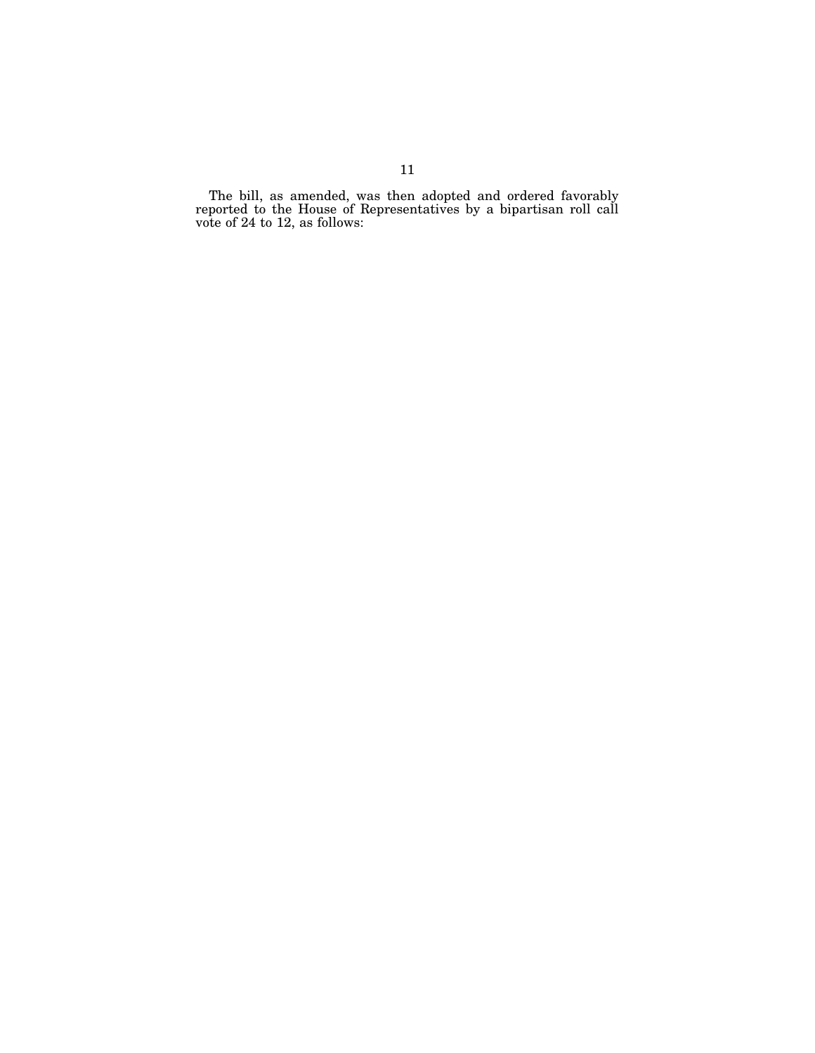The bill, as amended, was then adopted and ordered favorably reported to the House of Representatives by a bipartisan roll call vote of 24 to 12, as follows: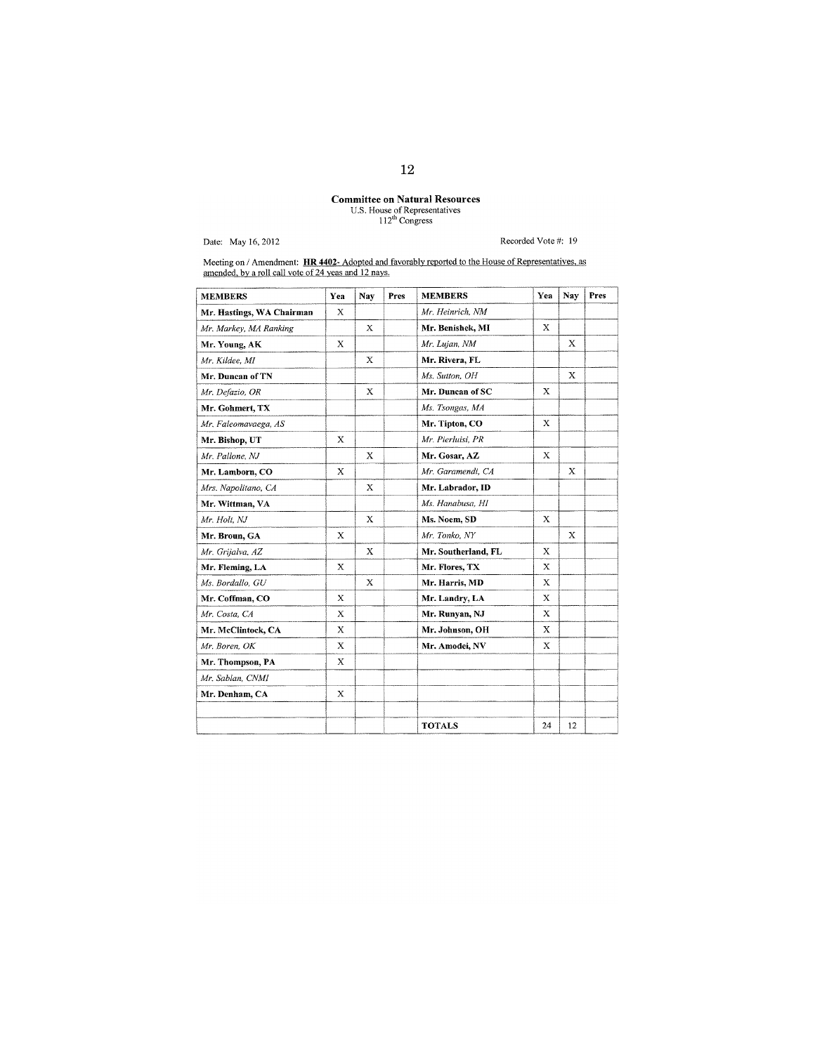# **Committee on Natural Resources**<br>U.S. House of Representatives<br> $112^{\text{th}}$  Congress

Date: May 16, 2012

## Recorded Vote #: 19

Meeting on / Amendment: HR 4402- Adopted and favorably reported to the House of Representatives, as amended, by a roll call vote of 24 yeas and 12 nays.

| <b>MEMBERS</b>            | Yea         | Nav         | Pres | <b>MEMBERS</b>      | Yea         | Nay         | Pres |
|---------------------------|-------------|-------------|------|---------------------|-------------|-------------|------|
| Mr. Hastings, WA Chairman | X           |             |      | Mr. Heinrich, NM    |             |             |      |
| Mr. Markey, MA Ranking    |             | X           |      | Mr. Benishek, MI    | X           |             |      |
| Mr. Young, AK             | X           |             |      | Mr. Lujan, NM       |             | $\mathbf x$ |      |
| Mr. Kildee, MI            |             | X           |      | Mr. Rivera, FL      |             |             |      |
| Mr. Duncan of TN          |             |             |      | Ms. Sutton, OH      |             | $\mathbf x$ |      |
| Mr. Defazio, OR           |             | X           |      | Mr. Duncan of SC    | Х           |             |      |
| Mr. Gohmert, TX           |             |             |      | Ms. Tsongas, MA     |             |             |      |
| Mr. Faleomavaega, AS      |             |             |      | Mr. Tipton, CO      | X           |             |      |
| Mr. Bishop, UT            | X           |             |      | Mr. Pierluisi. PR   |             |             |      |
| Mr. Pallone, NJ           |             | X           |      | Mr. Gosar, AZ       | Х           |             |      |
| Mr. Lamborn, CO           | X           |             |      | Mr. Garamendi. CA   |             | X           |      |
| Mrs. Napolitano, CA       |             | X           |      | Mr. Labrador, ID    |             |             |      |
| Mr. Wittman, VA           |             |             |      | Ms. Hanabusa, HI    |             |             |      |
| Mr. Holt, NJ              |             | X           |      | Ms. Noem, SD        | $\mathbf x$ |             |      |
| Mr. Broun, GA             | X           |             |      | Mr. Tonko, NY       |             | х           |      |
| Mr. Grijalva, AZ          |             | $\mathbf x$ |      | Mr. Southerland, FL | X           |             |      |
| Mr. Fleming, LA           | $\mathbf x$ |             |      | Mr. Flores, TX      | $\mathbf x$ |             |      |
| Ms. Bordallo, GU          |             | X           |      | Mr. Harris, MD      | $\mathbf x$ |             |      |
| Mr. Coffman, CO           | X           |             |      | Mr. Landry, LA      | $\mathbf x$ |             |      |
| Mr. Costa, CA             | X           |             |      | Mr. Runyan, NJ      | X           |             |      |
| Mr. McClintock, CA        | $\mathbf x$ |             |      | Mr. Johnson, OH     | X           |             |      |
| Mr. Boren, OK             | $\mathbf X$ |             |      | Mr. Amodei, NV      | X           |             |      |
| Mr. Thompson, PA          | X           |             |      |                     |             |             |      |
| Mr. Sablan, CNMI          |             |             |      |                     |             |             |      |
| Mr. Denham, CA            | X           |             |      |                     |             |             |      |
|                           |             |             |      |                     |             |             |      |
|                           |             |             |      | <b>TOTALS</b>       | 24          | 12          |      |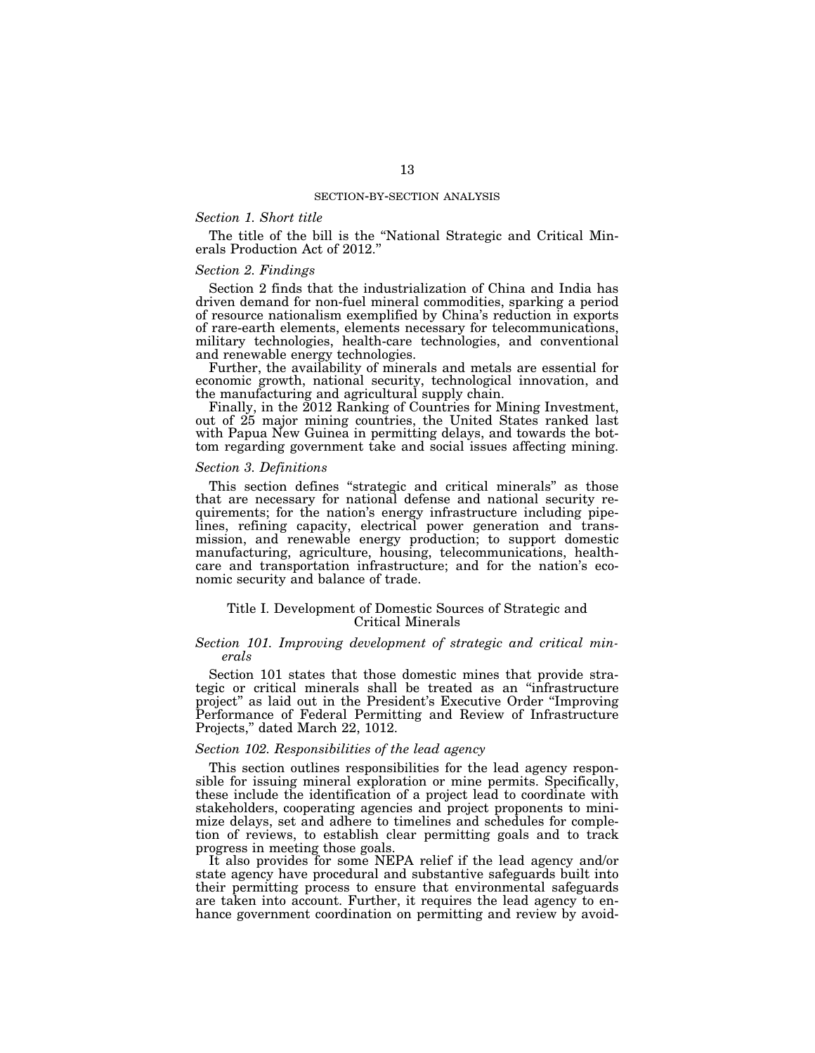## *Section 1. Short title*

The title of the bill is the ''National Strategic and Critical Minerals Production Act of 2012.''

#### *Section 2. Findings*

Section 2 finds that the industrialization of China and India has driven demand for non-fuel mineral commodities, sparking a period of resource nationalism exemplified by China's reduction in exports of rare-earth elements, elements necessary for telecommunications, military technologies, health-care technologies, and conventional and renewable energy technologies.

Further, the availability of minerals and metals are essential for economic growth, national security, technological innovation, and the manufacturing and agricultural supply chain.

Finally, in the 2012 Ranking of Countries for Mining Investment, out of 25 major mining countries, the United States ranked last with Papua New Guinea in permitting delays, and towards the bottom regarding government take and social issues affecting mining.

## *Section 3. Definitions*

This section defines ''strategic and critical minerals'' as those that are necessary for national defense and national security requirements; for the nation's energy infrastructure including pipelines, refining capacity, electrical power generation and transmission, and renewable energy production; to support domestic manufacturing, agriculture, housing, telecommunications, healthcare and transportation infrastructure; and for the nation's economic security and balance of trade.

## Title I. Development of Domestic Sources of Strategic and Critical Minerals

# *Section 101. Improving development of strategic and critical minerals*

Section 101 states that those domestic mines that provide strategic or critical minerals shall be treated as an ''infrastructure project'' as laid out in the President's Executive Order ''Improving Performance of Federal Permitting and Review of Infrastructure Projects,'' dated March 22, 1012.

# *Section 102. Responsibilities of the lead agency*

This section outlines responsibilities for the lead agency responsible for issuing mineral exploration or mine permits. Specifically, these include the identification of a project lead to coordinate with stakeholders, cooperating agencies and project proponents to minimize delays, set and adhere to timelines and schedules for completion of reviews, to establish clear permitting goals and to track progress in meeting those goals.

It also provides for some NEPA relief if the lead agency and/or state agency have procedural and substantive safeguards built into their permitting process to ensure that environmental safeguards are taken into account. Further, it requires the lead agency to enhance government coordination on permitting and review by avoid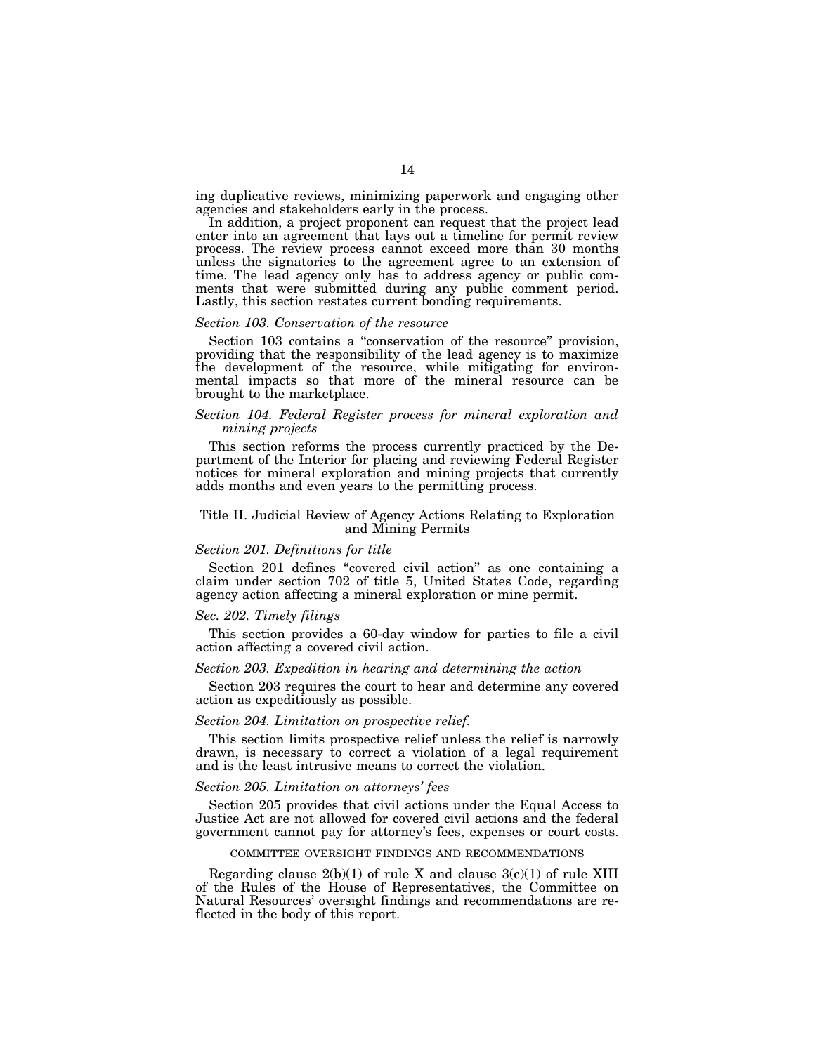ing duplicative reviews, minimizing paperwork and engaging other agencies and stakeholders early in the process.

In addition, a project proponent can request that the project lead enter into an agreement that lays out a timeline for permit review process. The review process cannot exceed more than 30 months unless the signatories to the agreement agree to an extension of time. The lead agency only has to address agency or public comments that were submitted during any public comment period. Lastly, this section restates current bonding requirements.

# *Section 103. Conservation of the resource*

Section 103 contains a "conservation of the resource" provision, providing that the responsibility of the lead agency is to maximize the development of the resource, while mitigating for environmental impacts so that more of the mineral resource can be brought to the market place.

# *Section 104. Federal Register process for mineral exploration and mining projects*

This section reforms the process currently practiced by the Department of the Interior for placing and reviewing Federal Register notices for mineral exploration and mining projects that currently adds months and even years to the permitting process.

#### Title II. Judicial Review of Agency Actions Relating to Exploration and Mining Permits

#### *Section 201. Definitions for title*

Section 201 defines "covered civil action" as one containing a claim under section 702 of title 5, United States Code, regarding agency action affecting a mineral exploration or mine permit.

#### *Sec. 202. Timely filings*

This section provides a 60-day window for parties to file a civil action affecting a covered civil action.

#### *Section 203. Expedition in hearing and determining the action*

Section 203 requires the court to hear and determine any covered action as expeditiously as possible.

## *Section 204. Limitation on prospective relief.*

This section limits prospective relief unless the relief is narrowly drawn, is necessary to correct a violation of a legal requirement and is the least intrusive means to correct the violation.

# *Section 205. Limitation on attorneys' fees*

Section 205 provides that civil actions under the Equal Access to Justice Act are not allowed for covered civil actions and the federal government cannot pay for attorney's fees, expenses or court costs.

#### COMMITTEE OVERSIGHT FINDINGS AND RECOMMENDATIONS

Regarding clause  $2(b)(1)$  of rule X and clause  $3(c)(1)$  of rule XIII of the Rules of the House of Representatives, the Committee on Natural Resources' oversight findings and recommendations are reflected in the body of this report.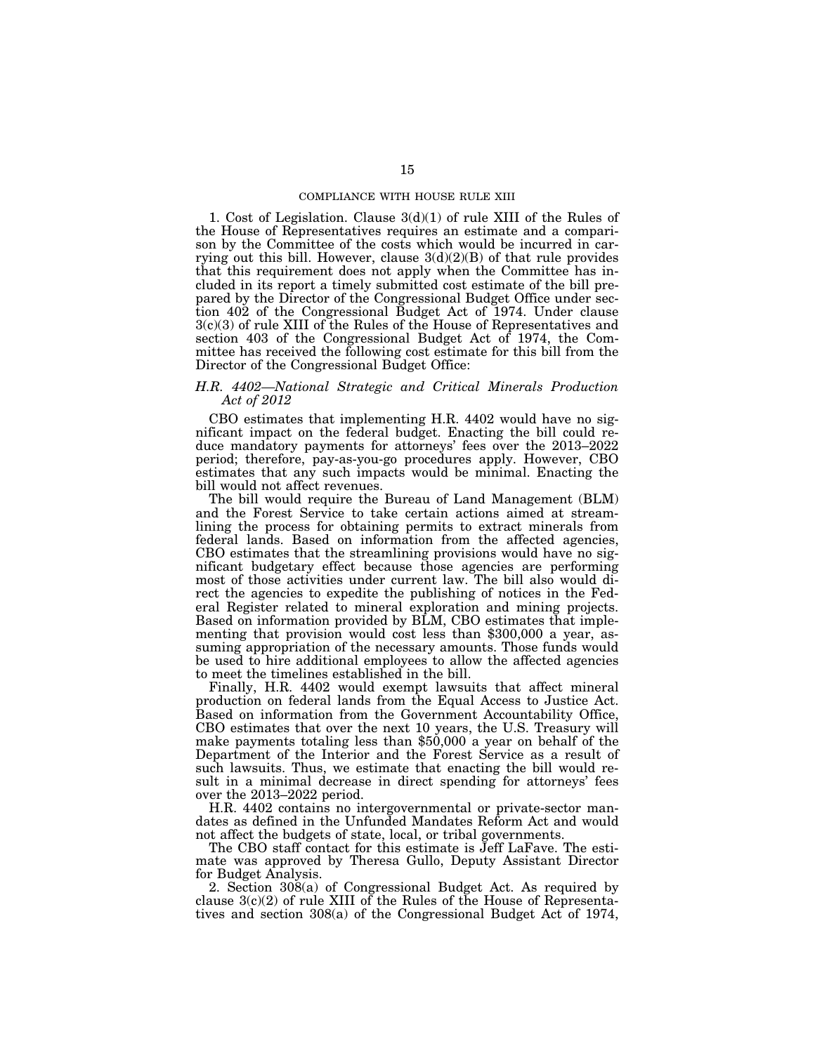#### COMPLIANCE WITH HOUSE RULE XIII

1. Cost of Legislation. Clause 3(d)(1) of rule XIII of the Rules of the House of Representatives requires an estimate and a comparison by the Committee of the costs which would be incurred in carrying out this bill. However, clause  $3(d)(2)(B)$  of that rule provides that this requirement does not apply when the Committee has included in its report a timely submitted cost estimate of the bill prepared by the Director of the Congressional Budget Office under section 402 of the Congressional Budget Act of 1974. Under clause 3(c)(3) of rule XIII of the Rules of the House of Representatives and section 403 of the Congressional Budget Act of 1974, the Committee has received the following cost estimate for this bill from the Director of the Congressional Budget Office:

# *H.R. 4402—National Strategic and Critical Minerals Production Act of 2012*

CBO estimates that implementing H.R. 4402 would have no significant impact on the federal budget. Enacting the bill could reduce mandatory payments for attorneys' fees over the 2013–2022 period; therefore, pay-as-you-go procedures apply. However, CBO estimates that any such impacts would be minimal. Enacting the bill would not affect revenues.

The bill would require the Bureau of Land Management (BLM) and the Forest Service to take certain actions aimed at streamlining the process for obtaining permits to extract minerals from federal lands. Based on information from the affected agencies, CBO estimates that the streamlining provisions would have no significant budgetary effect because those agencies are performing most of those activities under current law. The bill also would direct the agencies to expedite the publishing of notices in the Federal Register related to mineral exploration and mining projects. Based on information provided by BLM, CBO estimates that implementing that provision would cost less than \$300,000 a year, assuming appropriation of the necessary amounts. Those funds would be used to hire additional employees to allow the affected agencies to meet the timelines established in the bill.

Finally, H.R. 4402 would exempt lawsuits that affect mineral production on federal lands from the Equal Access to Justice Act. Based on information from the Government Accountability Office, CBO estimates that over the next 10 years, the U.S. Treasury will make payments totaling less than \$50,000 a year on behalf of the Department of the Interior and the Forest Service as a result of such lawsuits. Thus, we estimate that enacting the bill would result in a minimal decrease in direct spending for attorneys' fees over the 2013–2022 period.

H.R. 4402 contains no intergovernmental or private-sector mandates as defined in the Unfunded Mandates Reform Act and would not affect the budgets of state, local, or tribal governments.

The CBO staff contact for this estimate is Jeff LaFave. The estimate was approved by Theresa Gullo, Deputy Assistant Director for Budget Analysis.

2. Section 308(a) of Congressional Budget Act. As required by clause  $3(c)(2)$  of rule XIII of the Rules of the House of Representatives and section 308(a) of the Congressional Budget Act of 1974,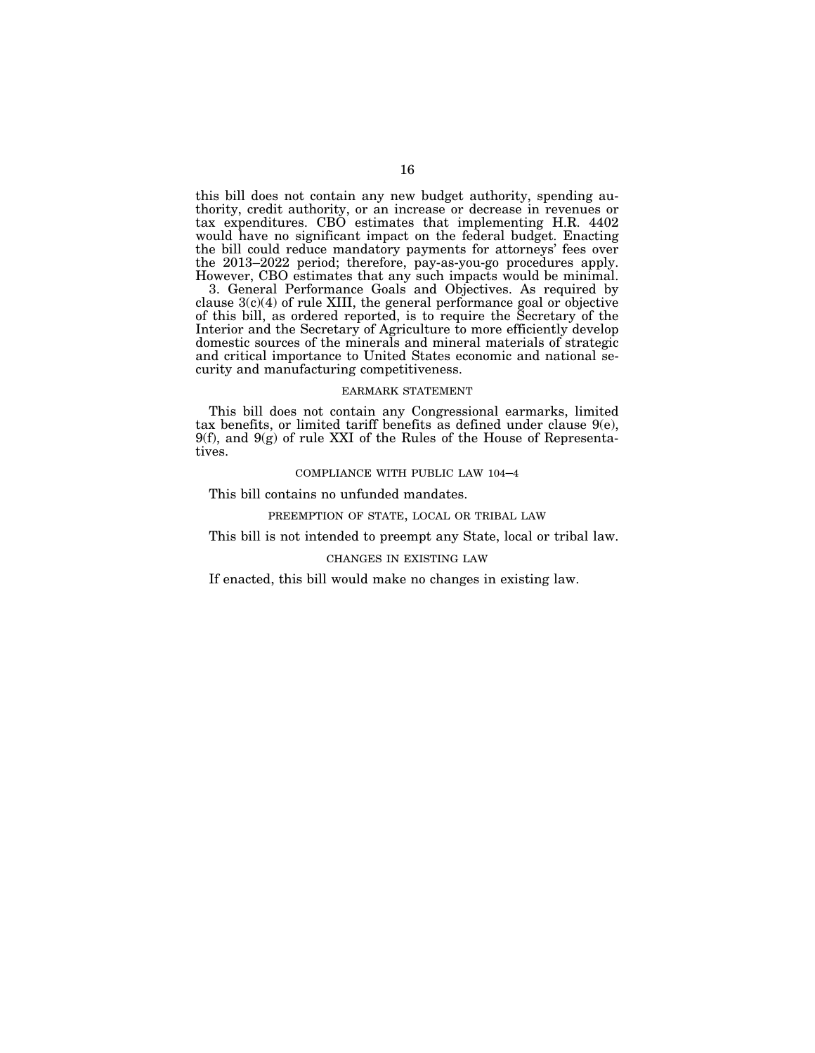this bill does not contain any new budget authority, spending authority, credit authority, or an increase or decrease in revenues or tax expenditures. CBO estimates that implementing H.R. 4402 would have no significant impact on the federal budget. Enacting the bill could reduce mandatory payments for attorneys' fees over the 2013–2022 period; therefore, pay-as-you-go procedures apply. However, CBO estimates that any such impacts would be minimal.

3. General Performance Goals and Objectives. As required by clause 3(c)(4) of rule XIII, the general performance goal or objective of this bill, as ordered reported, is to require the Secretary of the Interior and the Secretary of Agriculture to more efficiently develop domestic sources of the minerals and mineral materials of strategic and critical importance to United States economic and national security and manufacturing competitiveness.

#### EARMARK STATEMENT

This bill does not contain any Congressional earmarks, limited tax benefits, or limited tariff benefits as defined under clause 9(e), 9(f), and 9(g) of rule XXI of the Rules of the House of Representatives.

#### COMPLIANCE WITH PUBLIC LAW 104–4

This bill contains no unfunded mandates.

#### PREEMPTION OF STATE, LOCAL OR TRIBAL LAW

This bill is not intended to preempt any State, local or tribal law.

## CHANGES IN EXISTING LAW

If enacted, this bill would make no changes in existing law.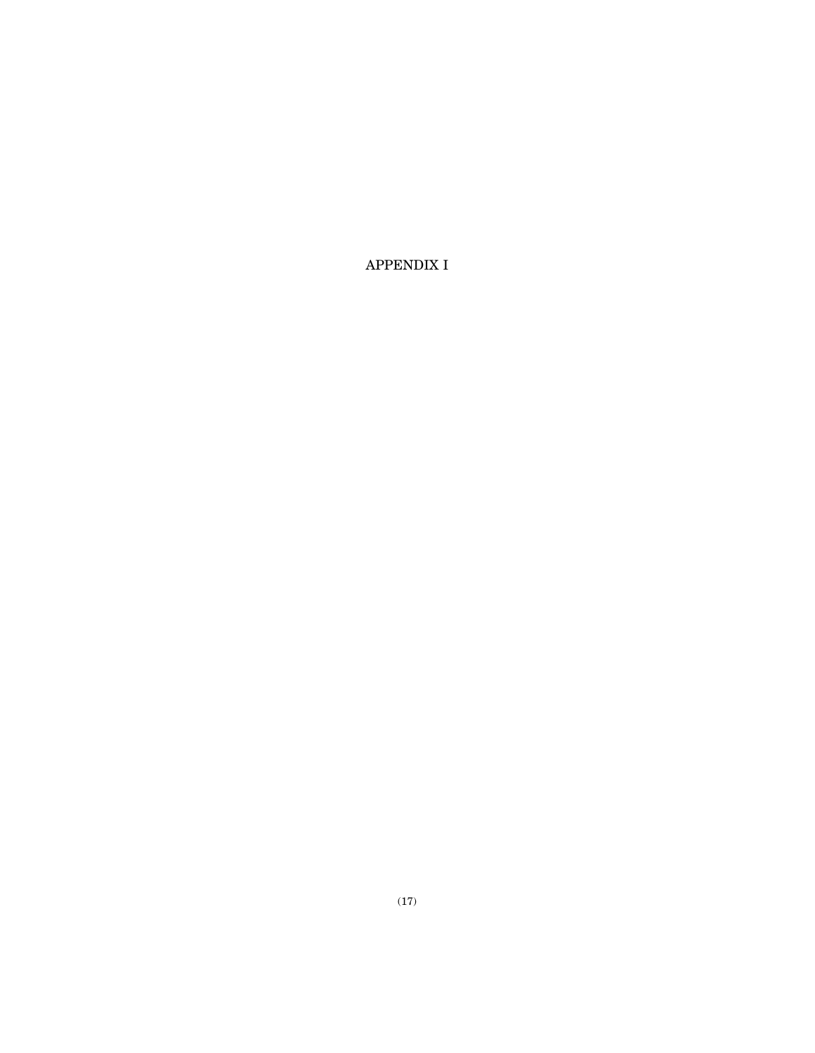APPENDIX I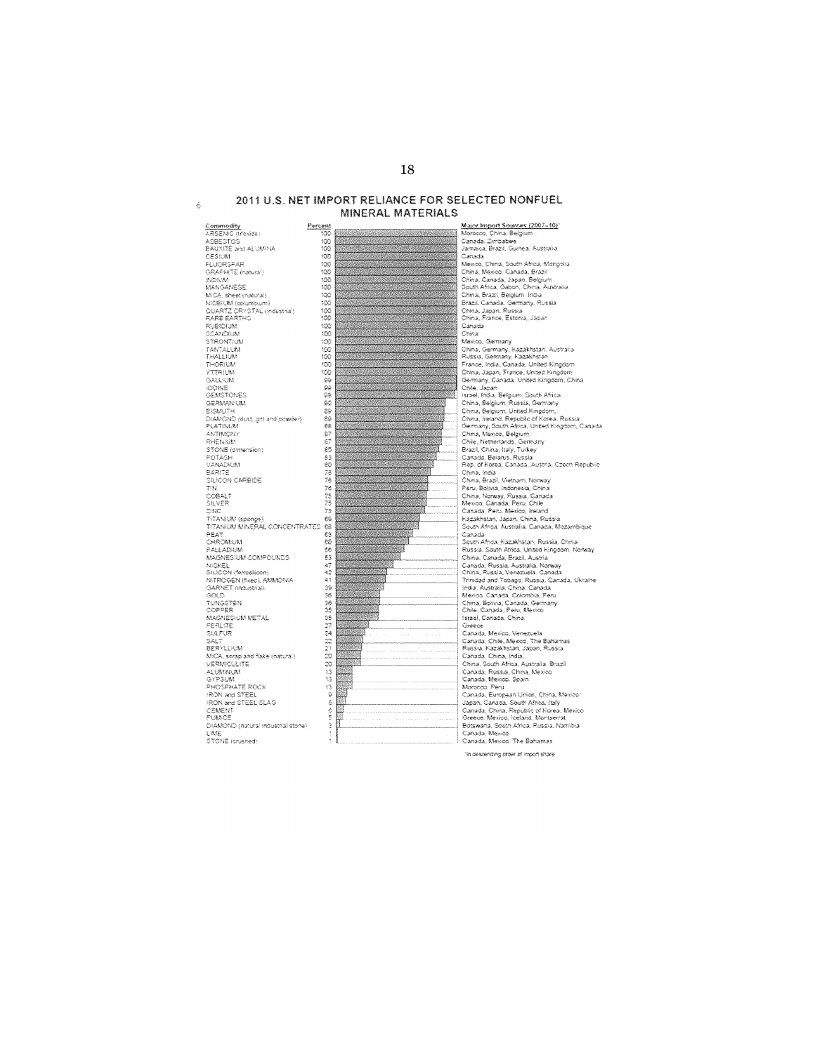# 2011 U.S. NET IMPORT RELIANCE FOR SELECTED NONFUEL MINERAL MATERIALS

 $\hat{\kappa}$ 

<u>Major Import Sources (2007–10)</u><br>Morocco, China, Belgium<br>Canada, Zimbabwe<br>Jamaida, Brazil, Guinea, Australia <u>Commodity</u><br>ARSENC (moxide)<br>ASBESTOS<br>BAUXITE and ALUMNA Percent  $300$  $\frac{100}{100}$ BAUXITE and ALUM<br>CESIUM<br>FLUORSPAR<br>GRAPHITE (natural)  $\frac{100}{100}$ <br>100<br>100 Canada Canada<br>Mexico, China, South Africa, Mongolia<br>China, Mexico, Canada, Brazi China, Mekoo, Canada, Israel<br>China, Canada, Japan, Belgium<br>South Africa, Gabon, China, Australia<br>China, Brazil, Belgium, India<br>Brazil, Canada, Germany, Russia<br>China, Japan, Russia<br>China, Japan, Russia  $\begin{array}{r} 100 \\ 100 \\ 100 \\ 100 \\ 100 \\ \end{array}$ **INDO MA** TRUNDRI<br>MANGANESE NAMOANESE<br>MCA, sheet (natural)<br>NICEIUM (ookumbium)<br>QUARTZ CRYSTAL (industrial)<br>RARE EARTHC  $^{100}_{100}$ RUBIDIUM<br>SCANDIUM<br>STRONTIUM<br>TANTALUM 100<br>100<br>100<br>100 Canada Canada<br>China<br>Mexico, Germany, Kazakhstan, Australia<br>Russia, Germany, Kazakhstan THALL FIRE THORIUM<br>YTTRIUM<br>GALLIUM France, India, Canada, United Kingdom  $500$ 38885 r rance, maar, Canada, Grined Angoon.<br>China, Japan, France, United Kingdom<br>Germany, Canada, United Kingdom, China. Gemany, Canada, United Kingdom, China<br>Chile, Japan<br>Brisel, India, Belgium, South Africa<br>China, Belgium, Russia, Gemany<br>China, Belgium, Russia, Gemany<br>China, Ireland, Republic of Korea, Russia<br>Gemany, South Africa, United K **IODINE**<br>GEMSTONES **GERMANNUM** 33335 ullanancum<br>Bismuth<br>Diamono (dust, get and powder)<br>FLATINUM Germany, Solom Amea, umited hingdom, Canada<br>Chile, Nebherlands, Germany<br>Chile, Nebherlands, Germany<br>Brazzi, China, Italy, Torkey<br>Canada, Belarus, Russia<br>Rep. of Korea, Canada, Austria, Czech Republic **ANTIMONY** AMIRACH<br>STONE (dimension)<br>POTASH<br>VANADILAM 釘餅 83<br>80 rtep, or norea, Canadas, Austria,<br>China, Brazil, Vietnam, Norway<br>Paru, Bolivia, Indonesia, China<br>China, Norway, Russia, Canada<br>Mexico, Canada, Peru, Chile<br>Canada, Peru, Mexico, Ireland<br>Canada, Peru, Mexico, Ireland BARITE 78万75万75万 EARLIE<br>SILICON CARBIDE<br>TIN<br>COBALT **SILVER Zinic** Canada, Peru, Mexico, Ireland<br>Kazakhstan, Japan, China, Russia<br>South Africa, Australia, Canada, Mozambique<br>Canada<br>South Africa, Kazakhstan, Russia, China<br>Russia, South Africa, United Kingdom, Norway 23NO<br>TITANNUM (sponge)<br>TITANNUM MINERAL CONCENTRATES 68<br>PEAT 63<br>CHROMIUM 60 103<br>58<br>58 PALLADIUM PALLADRIM<br>MAGNESRIM COMPOUNDS<br>NICKEL<br>SILICON (ferrosidon)<br>NITROGEN (fixed), AMMONIA<br>GARNET (industris) Russia, South Afna, United Kingdom, Norway<br>China, Canada, Brazil, Austria<br>China, Canada, Russia, Nustria<br>China, Russia, Venezuela, Canada<br>China, Russia, Venezuela, Canada<br>Imiridad and Tobago, Russia, Canada, Ukraine<br>Meiroo 经收集性经济的的法律 经经济的法律 GOLD. TUNGSTEN<br>COPPER wiekou, canada, calombia, Pero<br>China, Bolivia, Canada, Germany<br>Chile, Canada, Peru, Mexico UUFFER<br>MAGNESIUM METAL<br>PERLITE<br>SULFUR Greece<br>Canada, Mexico, Venezuela SALT<br>BERYLIKM Canada, Chile, Mexico, The Bahamas<br>Russia, Kazakhstan, Japan, Russia een rucken<br>MICA, serap and flake (natural)<br>VERMICULITE<br>ALUMINUM ruessa, ruesselanuel Japani, ruessa<br>Canada, China, India<br>China, South Africa, Australia, Brazil<br>Canada, Russia, China, Mexico<br>Canada, Mexico, Spain GYPSLAN Canada, Mesooo, Spain<br>Morocco, Peru<br>Canada, European Union, China, Mexico<br>Japan, Canada, South Africa, Italy<br>Canada, China, Republic of Korea, Mexico<br>Greece, Mexico, Iceland, Mortserrat OTEOWN<br>PHOSPHATE ROCK  $\frac{13}{9}$ PROSPRATE ROCK<br>IRON and STEEL<br>IRON and STEEL SLAG<br>CEMENT<br>PUMICE  $\frac{8}{3}$ **TILLE**  $\Theta$  or Cotswana, South Africa, Russia, Namibia<br>Botswana, South Africa, Russia, Namibia<br>Canada, Mexico, The Bahamas DIAMOND (natural industrial stone) Listenchio (usure<br>STONE (crushed)

<sup>1</sup>In descending order of import share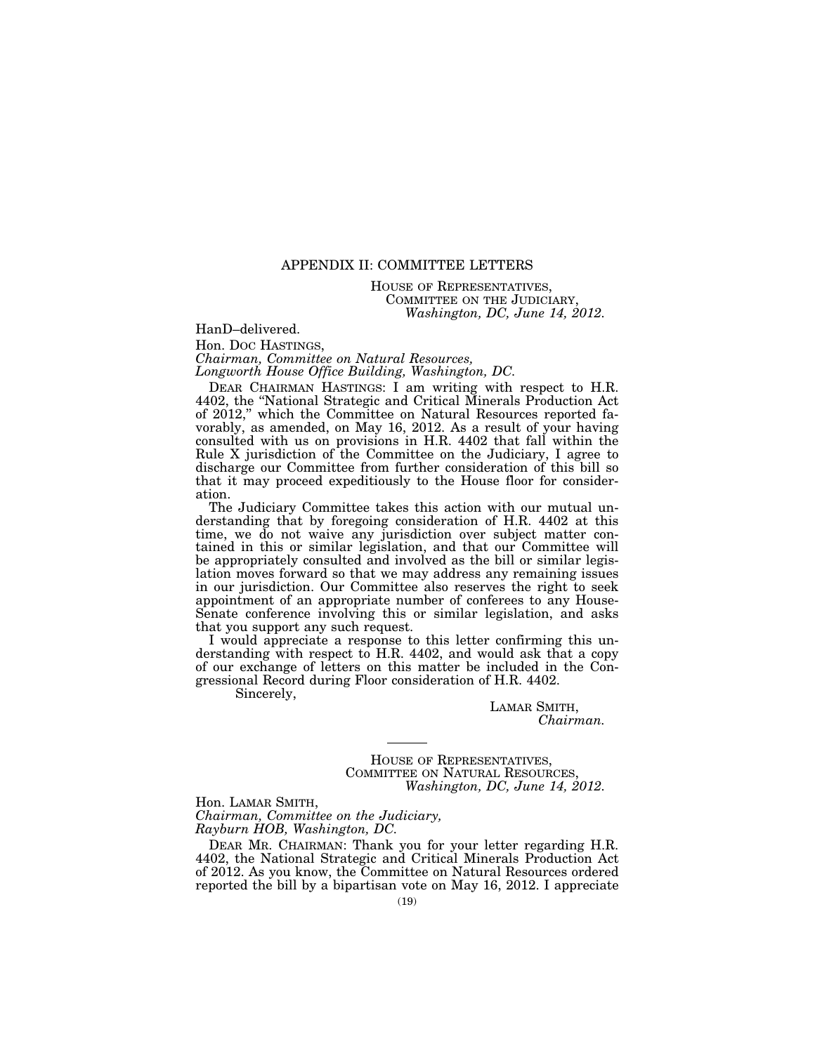# APPENDIX II: COMMITTEE LETTERS

HOUSE OF REPRESENTATIVES, COMMITTEE ON THE JUDICIARY, *Washington, DC, June 14, 2012.* 

HanD–delivered.

Hon. DOC HASTINGS,

*Chairman, Committee on Natural Resources, Longworth House Office Building, Washington, DC.* 

DEAR CHAIRMAN HASTINGS: I am writing with respect to H.R. 4402, the "National Strategic and Critical Minerals Production Act of 2012,'' which the Committee on Natural Resources reported favorably, as amended, on May 16, 2012. As a result of your having consulted with us on provisions in H.R. 4402 that fall within the Rule X jurisdiction of the Committee on the Judiciary, I agree to discharge our Committee from further consideration of this bill so that it may proceed expeditiously to the House floor for consideration.

The Judiciary Committee takes this action with our mutual understanding that by foregoing consideration of H.R. 4402 at this time, we do not waive any jurisdiction over subject matter contained in this or similar legislation, and that our Committee will be appropriately consulted and involved as the bill or similar legislation moves forward so that we may address any remaining issues in our jurisdiction. Our Committee also reserves the right to seek appointment of an appropriate number of conferees to any House-Senate conference involving this or similar legislation, and asks that you support any such request.

I would appreciate a response to this letter confirming this understanding with respect to H.R. 4402, and would ask that a copy of our exchange of letters on this matter be included in the Congressional Record during Floor consideration of H.R. 4402.

Sincerely,

LAMAR SMITH, *Chairman.* 

HOUSE OF REPRESENTATIVES, COMMITTEE ON NATURAL RESOURCES, *Washington, DC, June 14, 2012.* 

Hon. LAMAR SMITH, *Chairman, Committee on the Judiciary, Rayburn HOB, Washington, DC.* 

DEAR MR. CHAIRMAN: Thank you for your letter regarding H.R. 4402, the National Strategic and Critical Minerals Production Act of 2012. As you know, the Committee on Natural Resources ordered reported the bill by a bipartisan vote on May 16, 2012. I appreciate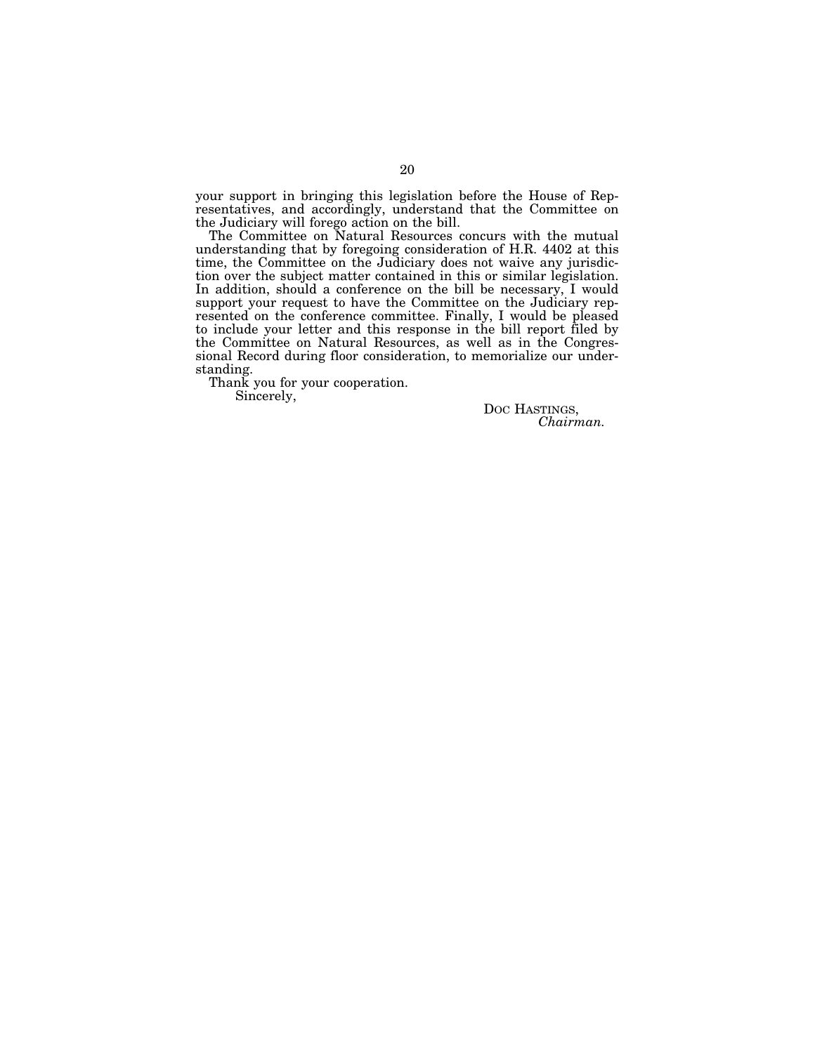your support in bringing this legislation before the House of Representatives, and accordingly, understand that the Committee on the Judiciary will forego action on the bill.

The Committee on Natural Resources concurs with the mutual understanding that by foregoing consideration of H.R. 4402 at this time, the Committee on the Judiciary does not waive any jurisdiction over the subject matter contained in this or similar legislation. In addition, should a conference on the bill be necessary, I would support your request to have the Committee on the Judiciary represented on the conference committee. Finally, I would be pleased to include your letter and this response in the bill report filed by the Committee on Natural Resources, as well as in the Congressional Record during floor consideration, to memorialize our understanding.

Thank you for your cooperation.

Sincerely,

DOC HASTINGS, *Chairman.*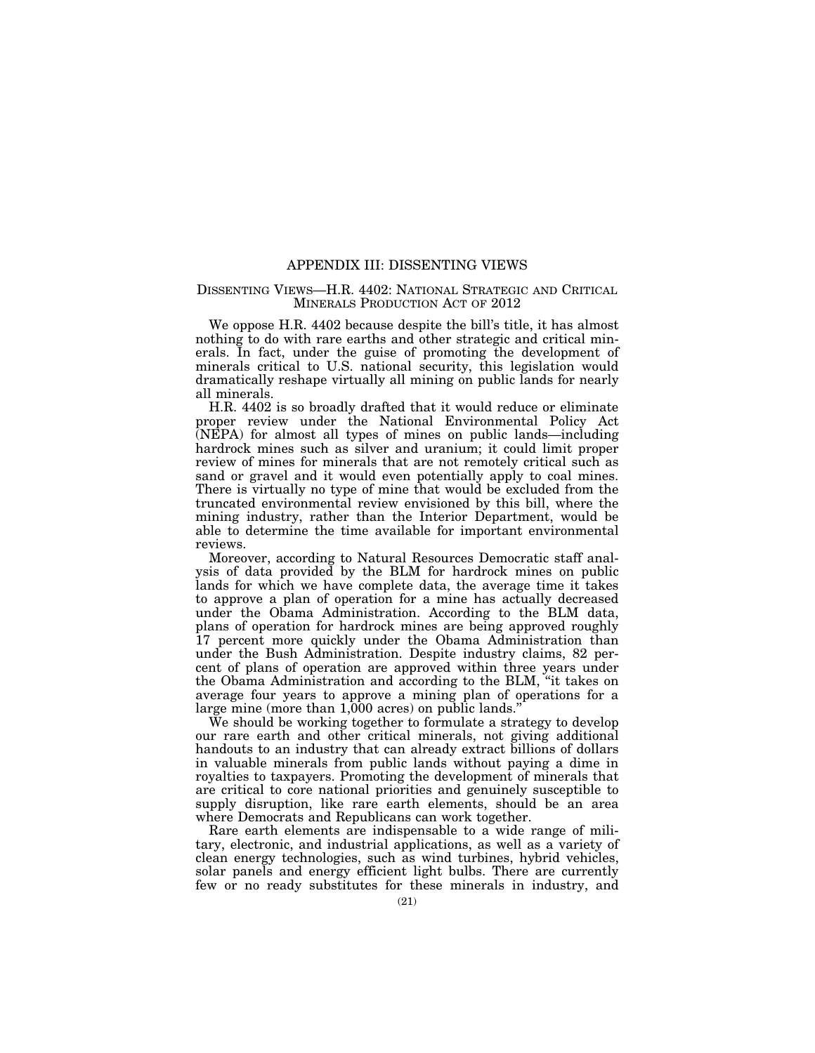#### APPENDIX III: DISSENTING VIEWS

## DISSENTING VIEWS—H.R. 4402: NATIONAL STRATEGIC AND CRITICAL MINERALS PRODUCTION ACT OF 2012

We oppose H.R. 4402 because despite the bill's title, it has almost nothing to do with rare earths and other strategic and critical minerals. In fact, under the guise of promoting the development of minerals critical to U.S. national security, this legislation would dramatically reshape virtually all mining on public lands for nearly all minerals.

H.R. 4402 is so broadly drafted that it would reduce or eliminate proper review under the National Environmental Policy Act (NEPA) for almost all types of mines on public lands—including hardrock mines such as silver and uranium; it could limit proper review of mines for minerals that are not remotely critical such as sand or gravel and it would even potentially apply to coal mines. There is virtually no type of mine that would be excluded from the truncated environmental review envisioned by this bill, where the mining industry, rather than the Interior Department, would be able to determine the time available for important environmental reviews.

Moreover, according to Natural Resources Democratic staff analysis of data provided by the BLM for hardrock mines on public lands for which we have complete data, the average time it takes to approve a plan of operation for a mine has actually decreased under the Obama Administration. According to the BLM data, plans of operation for hardrock mines are being approved roughly 17 percent more quickly under the Obama Administration than under the Bush Administration. Despite industry claims, 82 percent of plans of operation are approved within three years under the Obama Administration and according to the BLM, ''it takes on average four years to approve a mining plan of operations for a large mine (more than 1,000 acres) on public lands.''

We should be working together to formulate a strategy to develop our rare earth and other critical minerals, not giving additional handouts to an industry that can already extract billions of dollars in valuable minerals from public lands without paying a dime in royalties to taxpayers. Promoting the development of minerals that are critical to core national priorities and genuinely susceptible to supply disruption, like rare earth elements, should be an area where Democrats and Republicans can work together.

Rare earth elements are indispensable to a wide range of military, electronic, and industrial applications, as well as a variety of clean energy technologies, such as wind turbines, hybrid vehicles, solar panels and energy efficient light bulbs. There are currently few or no ready substitutes for these minerals in industry, and